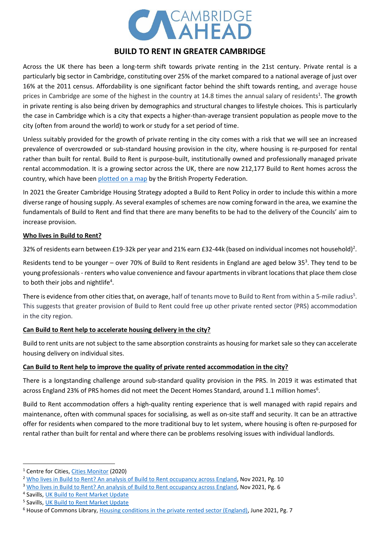

# **BUILD TO RENT IN GREATER CAMBRIDGE**

Across the UK there has been a long-term shift towards private renting in the 21st century. Private rental is a particularly big sector in Cambridge, constituting over 25% of the market compared to a national average of just over 16% at the 2011 census. Affordability is one significant factor behind the shift towards renting, and average house prices in Cambridge are some of the highest in the country at 14.8 times the annual salary of residents<sup>1</sup>. The growth in private renting is also being driven by demographics and structural changes to lifestyle choices. This is particularly the case in Cambridge which is a city that expects a higher-than-average transient population as people move to the city (often from around the world) to work or study for a set period of time.

Unless suitably provided for the growth of private renting in the city comes with a risk that we will see an increased prevalence of overcrowded or sub-standard housing provision in the city, where housing is re-purposed for rental rather than built for rental. Build to Rent is purpose-built, institutionally owned and professionally managed private rental accommodation. It is a growing sector across the UK, there are now 212,177 Build to Rent homes across the country, which have been [plotted on a map](https://bpf.org.uk/about-real-estate/build-to-rent/) by the British Property Federation.

In 2021 the Greater Cambridge Housing Strategy adopted a Build to Rent Policy in order to include this within a more diverse range of housing supply. As several examples of schemes are now coming forward in the area, we examine the fundamentals of Build to Rent and find that there are many benefits to be had to the delivery of the Councils' aim to increase provision.

#### **Who lives in Build to Rent?**

32% of residents earn between £19-32k per year and 21% earn £32-44k (based on individual incomes not household)<sup>2</sup>.

Residents tend to be younger  $-$  over 70% of Build to Rent residents in England are aged below 35<sup>3</sup>. They tend to be young professionals - renters who value convenience and favour apartments in vibrant locations that place them close to both their jobs and nightlife<sup>4</sup>.

There is evidence from other cities that, on average, half of tenants move to Build to Rent from within a 5-mile radius<sup>5</sup>. This suggests that greater provision of Build to Rent could free up other private rented sector (PRS) accommodation in the city region.

# **Can Build to Rent help to accelerate housing delivery in the city?**

Build to rent units are not subject to the same absorption constraints as housing for market sale so they can accelerate housing delivery on individual sites.

# **Can Build to Rent help to improve the quality of private rented accommodation in the city?**

There is a longstanding challenge around sub-standard quality provision in the PRS. In 2019 it was estimated that across England 23% of PRS homes did not meet the Decent Homes Standard, around 1.1 million homes<sup>6</sup>.

Build to Rent accommodation offers a high-quality renting experience that is well managed with rapid repairs and maintenance, often with communal spaces for socialising, as well as on-site staff and security. It can be an attractive offer for residents when compared to the more traditional buy to let system, where housing is often re-purposed for rental rather than built for rental and where there can be problems resolving issues with individual landlords.

<sup>1</sup> Centre for Cities, [Cities Monitor](https://www.centreforcities.org/city-monitor/?path=city/cambridge&region=east) (2020)

<sup>&</sup>lt;sup>2</sup> [Who lives in Build to Rent? An analysis of Build to Rent occupancy across England,](https://www.londonfirst.co.uk/sites/default/files/documents/2021-11/who-lives-in-btr-nov21.pdf) Nov 2021, Pg. 10

<sup>&</sup>lt;sup>3</sup> [Who lives in Build to Rent? An analysis of Build to Rent occupancy across England,](https://www.londonfirst.co.uk/sites/default/files/documents/2021-11/who-lives-in-btr-nov21.pdf) Nov 2021, Pg. 6

<sup>&</sup>lt;sup>4</sup> Savills, [UK Build to Rent Market Update](https://www.savills.co.uk/research_articles/229130/312837-0)

<sup>&</sup>lt;sup>5</sup> Savills, [UK Build to Rent Market Update](https://www.savills.co.uk/research_articles/229130/312837-0)

<sup>6</sup> House of Commons Library, [Housing conditions in the private rented sector \(England\),](https://researchbriefings.files.parliament.uk/documents/CBP-7328/CBP-7328.pdf) June 2021, Pg. 7